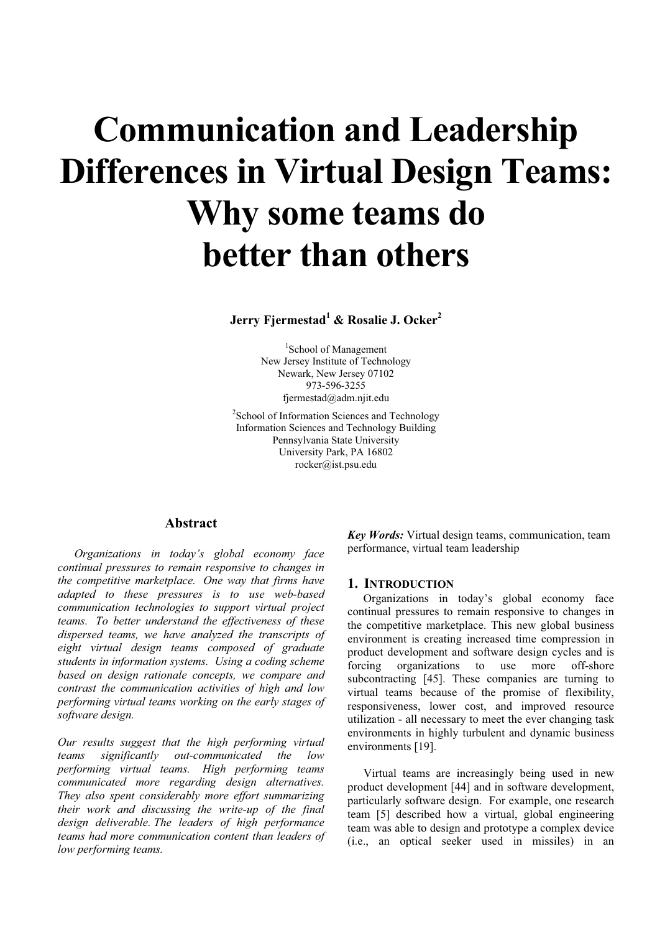# **Communication and Leadership Differences in Virtual Design Teams: Why some teams do better than others**

**Jerry Fjermestad1 & Rosalie J. Ocker2**

1 School of Management New Jersey Institute of Technology Newark, New Jersey 07102 973-596-3255 fjermestad@adm.njit.edu

<sup>2</sup> School of Information Sciences and Technology Information Sciences and Technology Building Pennsylvania State University University Park, PA 16802 rocker@ist.psu.edu

# **Abstract**

*Organizations in today's global economy face continual pressures to remain responsive to changes in the competitive marketplace. One way that firms have adapted to these pressures is to use web-based communication technologies to support virtual project teams. To better understand the effectiveness of these dispersed teams, we have analyzed the transcripts of eight virtual design teams composed of graduate students in information systems. Using a coding scheme based on design rationale concepts, we compare and contrast the communication activities of high and low performing virtual teams working on the early stages of software design.* 

*Our results suggest that the high performing virtual teams significantly out-communicated the low performing virtual teams. High performing teams communicated more regarding design alternatives. They also spent considerably more effort summarizing their work and discussing the write-up of the final design deliverable. The leaders of high performance teams had more communication content than leaders of low performing teams.*

*Key Words:* Virtual design teams, communication, team performance, virtual team leadership

## **1. INTRODUCTION**

Organizations in today's global economy face continual pressures to remain responsive to changes in the competitive marketplace. This new global business environment is creating increased time compression in product development and software design cycles and is forcing organizations to use more off-shore subcontracting [45]. These companies are turning to virtual teams because of the promise of flexibility, responsiveness, lower cost, and improved resource utilization - all necessary to meet the ever changing task environments in highly turbulent and dynamic business environments [19].

Virtual teams are increasingly being used in new product development [44] and in software development, particularly software design. For example, one research team [5] described how a virtual, global engineering team was able to design and prototype a complex device (i.e., an optical seeker used in missiles) in an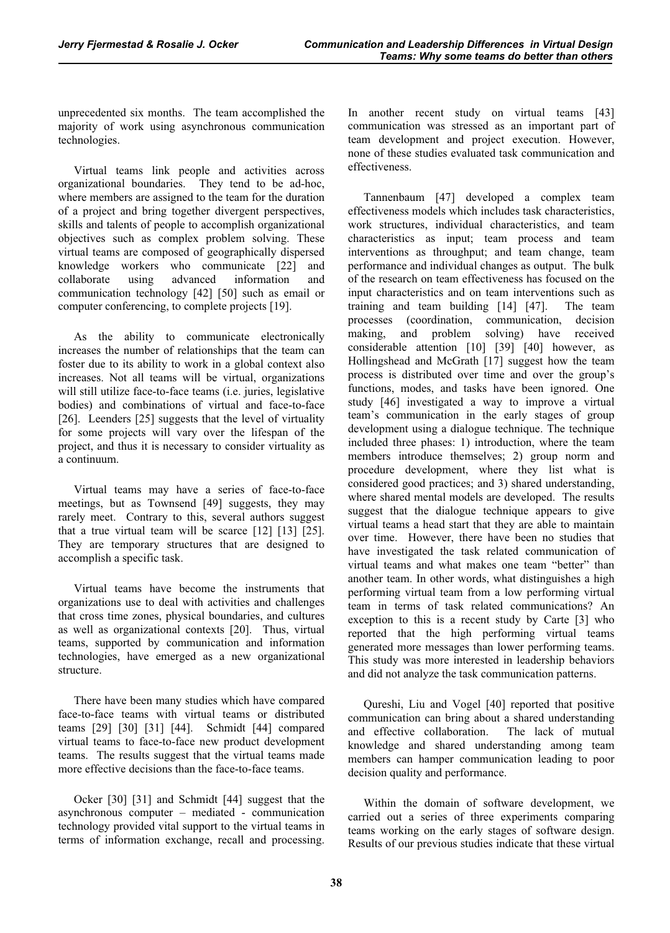unprecedented six months. The team accomplished the majority of work using asynchronous communication technologies.

Virtual teams link people and activities across organizational boundaries. They tend to be ad-hoc, where members are assigned to the team for the duration of a project and bring together divergent perspectives, skills and talents of people to accomplish organizational objectives such as complex problem solving. These virtual teams are composed of geographically dispersed knowledge workers who communicate [22] and collaborate using advanced information and communication technology [42] [50] such as email or computer conferencing, to complete projects [19].

As the ability to communicate electronically increases the number of relationships that the team can foster due to its ability to work in a global context also increases. Not all teams will be virtual, organizations will still utilize face-to-face teams (i.e. juries, legislative bodies) and combinations of virtual and face-to-face [26]. Leenders [25] suggests that the level of virtuality for some projects will vary over the lifespan of the project, and thus it is necessary to consider virtuality as a continuum.

Virtual teams may have a series of face-to-face meetings, but as Townsend [49] suggests, they may rarely meet. Contrary to this, several authors suggest that a true virtual team will be scarce [12] [13] [25]. They are temporary structures that are designed to accomplish a specific task.

Virtual teams have become the instruments that organizations use to deal with activities and challenges that cross time zones, physical boundaries, and cultures as well as organizational contexts [20]. Thus, virtual teams, supported by communication and information technologies, have emerged as a new organizational structure.

There have been many studies which have compared face-to-face teams with virtual teams or distributed teams [29] [30] [31] [44]. Schmidt [44] compared virtual teams to face-to-face new product development teams. The results suggest that the virtual teams made more effective decisions than the face-to-face teams.

Ocker [30] [31] and Schmidt [44] suggest that the asynchronous computer – mediated - communication technology provided vital support to the virtual teams in terms of information exchange, recall and processing.

In another recent study on virtual teams [43] communication was stressed as an important part of team development and project execution. However, none of these studies evaluated task communication and effectiveness.

Tannenbaum [47] developed a complex team effectiveness models which includes task characteristics, work structures, individual characteristics, and team characteristics as input; team process and team interventions as throughput; and team change, team performance and individual changes as output. The bulk of the research on team effectiveness has focused on the input characteristics and on team interventions such as training and team building [14] [47]. The team processes (coordination, communication, decision making, and problem solving) have received considerable attention [10] [39] [40] however, as Hollingshead and McGrath [17] suggest how the team process is distributed over time and over the group's functions, modes, and tasks have been ignored. One study [46] investigated a way to improve a virtual team's communication in the early stages of group development using a dialogue technique. The technique included three phases: 1) introduction, where the team members introduce themselves; 2) group norm and procedure development, where they list what is considered good practices; and 3) shared understanding, where shared mental models are developed. The results suggest that the dialogue technique appears to give virtual teams a head start that they are able to maintain over time. However, there have been no studies that have investigated the task related communication of virtual teams and what makes one team "better" than another team. In other words, what distinguishes a high performing virtual team from a low performing virtual team in terms of task related communications? An exception to this is a recent study by Carte [3] who reported that the high performing virtual teams generated more messages than lower performing teams. This study was more interested in leadership behaviors and did not analyze the task communication patterns.

Qureshi, Liu and Vogel [40] reported that positive communication can bring about a shared understanding and effective collaboration. The lack of mutual knowledge and shared understanding among team members can hamper communication leading to poor decision quality and performance.

Within the domain of software development, we carried out a series of three experiments comparing teams working on the early stages of software design. Results of our previous studies indicate that these virtual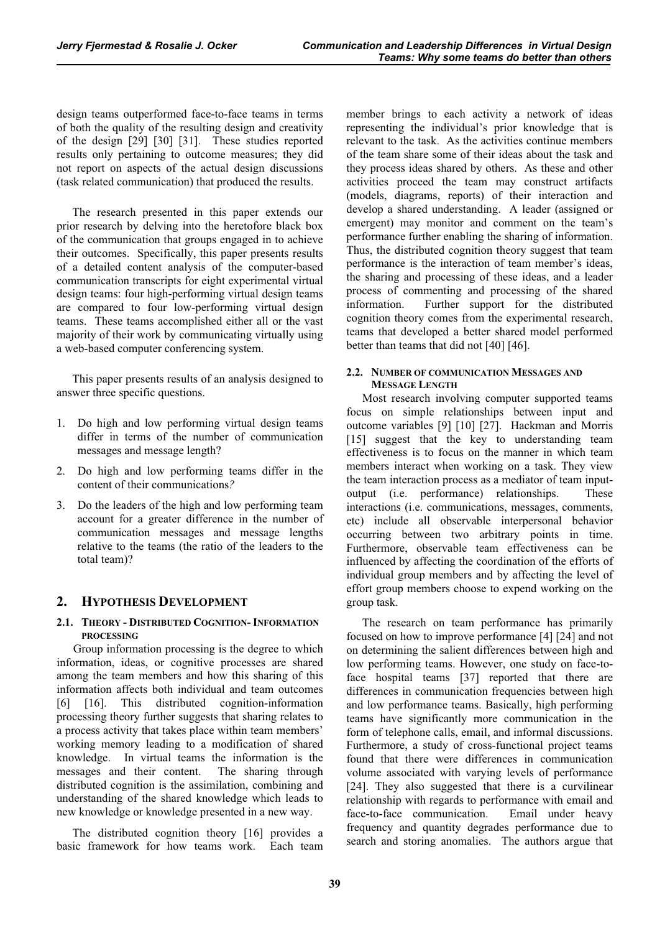design teams outperformed face-to-face teams in terms of both the quality of the resulting design and creativity of the design [29] [30] [31]. These studies reported results only pertaining to outcome measures; they did not report on aspects of the actual design discussions (task related communication) that produced the results.

The research presented in this paper extends our prior research by delving into the heretofore black box of the communication that groups engaged in to achieve their outcomes. Specifically, this paper presents results of a detailed content analysis of the computer-based communication transcripts for eight experimental virtual design teams: four high-performing virtual design teams are compared to four low-performing virtual design teams. These teams accomplished either all or the vast majority of their work by communicating virtually using a web-based computer conferencing system.

This paper presents results of an analysis designed to answer three specific questions.

- 1. Do high and low performing virtual design teams differ in terms of the number of communication messages and message length?
- 2. Do high and low performing teams differ in the content of their communications*?*
- 3. Do the leaders of the high and low performing team account for a greater difference in the number of communication messages and message lengths relative to the teams (the ratio of the leaders to the total team)?

# **2. HYPOTHESIS DEVELOPMENT**

## **2.1. THEORY - DISTRIBUTED COGNITION- INFORMATION PROCESSING**

Group information processing is the degree to which information, ideas, or cognitive processes are shared among the team members and how this sharing of this information affects both individual and team outcomes [6] [16]. This distributed cognition-information processing theory further suggests that sharing relates to a process activity that takes place within team members' working memory leading to a modification of shared knowledge. In virtual teams the information is the messages and their content. The sharing through distributed cognition is the assimilation, combining and understanding of the shared knowledge which leads to new knowledge or knowledge presented in a new way.

The distributed cognition theory [16] provides a basic framework for how teams work. Each team

member brings to each activity a network of ideas representing the individual's prior knowledge that is relevant to the task. As the activities continue members of the team share some of their ideas about the task and they process ideas shared by others. As these and other activities proceed the team may construct artifacts (models, diagrams, reports) of their interaction and develop a shared understanding. A leader (assigned or emergent) may monitor and comment on the team's performance further enabling the sharing of information. Thus, the distributed cognition theory suggest that team performance is the interaction of team member's ideas, the sharing and processing of these ideas, and a leader process of commenting and processing of the shared information. Further support for the distributed cognition theory comes from the experimental research, teams that developed a better shared model performed better than teams that did not [40] [46].

## **2.2. NUMBER OF COMMUNICATION MESSAGES AND MESSAGE LENGTH**

Most research involving computer supported teams focus on simple relationships between input and outcome variables [9] [10] [27]. Hackman and Morris [15] suggest that the key to understanding team effectiveness is to focus on the manner in which team members interact when working on a task. They view the team interaction process as a mediator of team inputoutput (i.e. performance) relationships. These interactions (i.e. communications, messages, comments, etc) include all observable interpersonal behavior occurring between two arbitrary points in time. Furthermore, observable team effectiveness can be influenced by affecting the coordination of the efforts of individual group members and by affecting the level of effort group members choose to expend working on the group task.

The research on team performance has primarily focused on how to improve performance [4] [24] and not on determining the salient differences between high and low performing teams. However, one study on face-toface hospital teams [37] reported that there are differences in communication frequencies between high and low performance teams. Basically, high performing teams have significantly more communication in the form of telephone calls, email, and informal discussions. Furthermore, a study of cross-functional project teams found that there were differences in communication volume associated with varying levels of performance [24]. They also suggested that there is a curvilinear relationship with regards to performance with email and face-to-face communication. Email under heavy frequency and quantity degrades performance due to search and storing anomalies. The authors argue that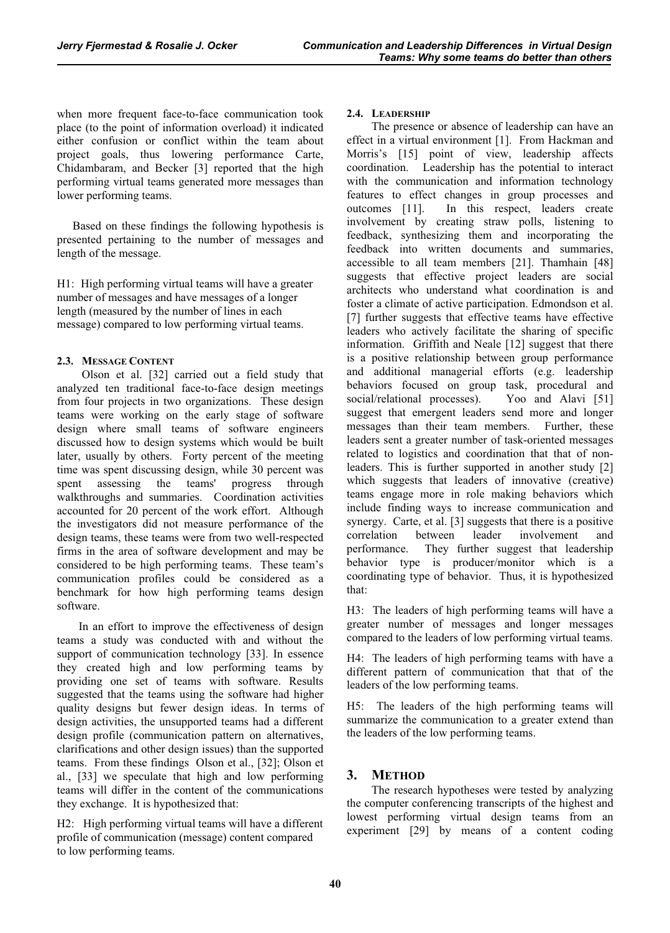when more frequent face-to-face communication took place (to the point of information overload) it indicated either confusion or conflict within the team about project goals, thus lowering performance Carte, Chidambaram, and Becker [3] reported that the high performing virtual teams generated more messages than lower performing teams.

Based on these findings the following hypothesis is presented pertaining to the number of messages and length of the message.

H1: High performing virtual teams will have a greater number of messages and have messages of a longer length (measured by the number of lines in each message) compared to low performing virtual teams.

## **2.3. MESSAGE CONTENT**

 Olson et al. [32] carried out a field study that analyzed ten traditional face-to-face design meetings from four projects in two organizations. These design teams were working on the early stage of software design where small teams of software engineers discussed how to design systems which would be built later, usually by others. Forty percent of the meeting time was spent discussing design, while 30 percent was spent assessing the teams' progress through walkthroughs and summaries. Coordination activities accounted for 20 percent of the work effort. Although the investigators did not measure performance of the design teams, these teams were from two well-respected firms in the area of software development and may be considered to be high performing teams. These team's communication profiles could be considered as a benchmark for how high performing teams design software.

 In an effort to improve the effectiveness of design teams a study was conducted with and without the support of communication technology [33]. In essence they created high and low performing teams by providing one set of teams with software. Results suggested that the teams using the software had higher quality designs but fewer design ideas. In terms of design activities, the unsupported teams had a different design profile (communication pattern on alternatives, clarifications and other design issues) than the supported teams. From these findings Olson et al., [32]; Olson et al., [33] we speculate that high and low performing teams will differ in the content of the communications they exchange. It is hypothesized that:

H2: High performing virtual teams will have a different profile of communication (message) content compared to low performing teams.

## **2.4. LEADERSHIP**

 The presence or absence of leadership can have an effect in a virtual environment [1]. From Hackman and Morris's [15] point of view, leadership affects coordination. Leadership has the potential to interact with the communication and information technology features to effect changes in group processes and outcomes [11]. In this respect, leaders create involvement by creating straw polls, listening to feedback, synthesizing them and incorporating the feedback into written documents and summaries, accessible to all team members [21]. Thamhain [48] suggests that effective project leaders are social architects who understand what coordination is and foster a climate of active participation. Edmondson et al. [7] further suggests that effective teams have effective leaders who actively facilitate the sharing of specific information. Griffith and Neale [12] suggest that there is a positive relationship between group performance and additional managerial efforts (e.g. leadership behaviors focused on group task, procedural and social/relational processes). Yoo and Alavi [51] suggest that emergent leaders send more and longer messages than their team members. Further, these leaders sent a greater number of task-oriented messages related to logistics and coordination that that of nonleaders. This is further supported in another study [2] which suggests that leaders of innovative (creative) teams engage more in role making behaviors which include finding ways to increase communication and synergy. Carte, et al. [3] suggests that there is a positive correlation between leader involvement and performance. They further suggest that leadership behavior type is producer/monitor which is a coordinating type of behavior. Thus, it is hypothesized that:

H3: The leaders of high performing teams will have a greater number of messages and longer messages compared to the leaders of low performing virtual teams.

H4: The leaders of high performing teams with have a different pattern of communication that that of the leaders of the low performing teams.

H5: The leaders of the high performing teams will summarize the communication to a greater extend than the leaders of the low performing teams.

# **3. METHOD**

 The research hypotheses were tested by analyzing the computer conferencing transcripts of the highest and lowest performing virtual design teams from an experiment [29] by means of a content coding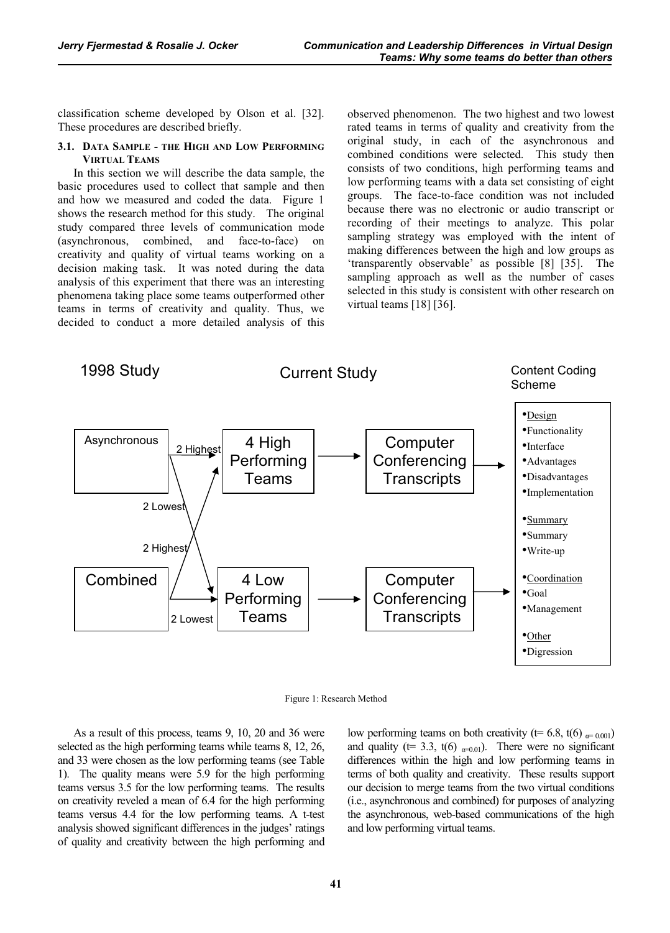classification scheme developed by Olson et al. [32]. These procedures are described briefly.

#### **3.1. DATA SAMPLE - THE HIGH AND LOW PERFORMING VIRTUAL TEAMS**

In this section we will describe the data sample, the basic procedures used to collect that sample and then and how we measured and coded the data. Figure 1 shows the research method for this study. The original study compared three levels of communication mode (asynchronous, combined, and face-to-face) on creativity and quality of virtual teams working on a decision making task. It was noted during the data analysis of this experiment that there was an interesting phenomena taking place some teams outperformed other teams in terms of creativity and quality. Thus, we decided to conduct a more detailed analysis of this observed phenomenon. The two highest and two lowest rated teams in terms of quality and creativity from the original study, in each of the asynchronous and combined conditions were selected. This study then consists of two conditions, high performing teams and low performing teams with a data set consisting of eight groups. The face-to-face condition was not included because there was no electronic or audio transcript or recording of their meetings to analyze. This polar sampling strategy was employed with the intent of making differences between the high and low groups as 'transparently observable' as possible [8] [35]. The sampling approach as well as the number of cases selected in this study is consistent with other research on virtual teams [18] [36].





As a result of this process, teams 9, 10, 20 and 36 were selected as the high performing teams while teams 8, 12, 26, and 33 were chosen as the low performing teams (see Table 1). The quality means were 5.9 for the high performing teams versus 3.5 for the low performing teams. The results on creativity reveled a mean of 6.4 for the high performing teams versus 4.4 for the low performing teams. A t-test analysis showed significant differences in the judges' ratings of quality and creativity between the high performing and

low performing teams on both creativity ( $t= 6.8$ ,  $t(6)$   $_{\alpha=0.001}$ ) and quality ( $t= 3.3$ ,  $t(6)$  <sub> $\alpha=0.01$ </sub>). There were no significant differences within the high and low performing teams in terms of both quality and creativity. These results support our decision to merge teams from the two virtual conditions (i.e., asynchronous and combined) for purposes of analyzing the asynchronous, web-based communications of the high and low performing virtual teams.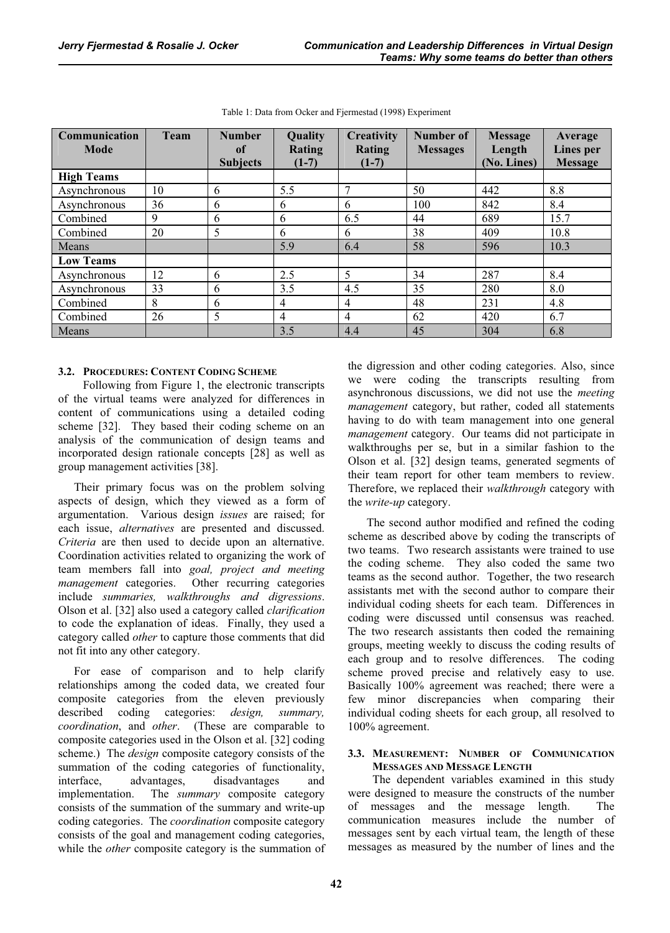| Communication<br><b>Mode</b> | Team | <b>Number</b><br><b>of</b><br><b>Subjects</b> | Quality<br>Rating<br>$(1-7)$ | Creativity<br>Rating<br>$(1-7)$ | Number of<br><b>Messages</b> | <b>Message</b><br>Length<br>(No. Lines) | Average<br>Lines per<br><b>Message</b> |
|------------------------------|------|-----------------------------------------------|------------------------------|---------------------------------|------------------------------|-----------------------------------------|----------------------------------------|
| <b>High Teams</b>            |      |                                               |                              |                                 |                              |                                         |                                        |
| Asynchronous                 | 10   | 6                                             | 5.5                          | $\mathcal{I}$                   | 50                           | 442                                     | 8.8                                    |
| Asynchronous                 | 36   | 6                                             | 6                            | 6                               | 100                          | 842                                     | 8.4                                    |
| Combined                     | 9    | 6                                             | 6                            | 6.5                             | 44                           | 689                                     | 15.7                                   |
| Combined                     | 20   | 5                                             | 6                            | 6                               | 38                           | 409                                     | 10.8                                   |
| Means                        |      |                                               | 5.9                          | 6.4                             | 58                           | 596                                     | 10.3                                   |
| <b>Low Teams</b>             |      |                                               |                              |                                 |                              |                                         |                                        |
| Asynchronous                 | 12   | 6                                             | 2.5                          | 5                               | 34                           | 287                                     | 8.4                                    |
| Asynchronous                 | 33   | 6                                             | 3.5                          | 4.5                             | 35                           | 280                                     | 8.0                                    |
| Combined                     | 8    | 6                                             | $\overline{4}$               | $\overline{4}$                  | 48                           | 231                                     | 4.8                                    |
| Combined                     | 26   | 5                                             | $\overline{4}$               | $\overline{4}$                  | 62                           | 420                                     | 6.7                                    |
| Means                        |      |                                               | 3.5                          | 4.4                             | 45                           | 304                                     | 6.8                                    |

Table 1: Data from Ocker and Fjermestad (1998) Experiment

## **3.2. PROCEDURES: CONTENT CODING SCHEME**

 Following from Figure 1, the electronic transcripts of the virtual teams were analyzed for differences in content of communications using a detailed coding scheme [32]. They based their coding scheme on an analysis of the communication of design teams and incorporated design rationale concepts [28] as well as group management activities [38].

Their primary focus was on the problem solving aspects of design, which they viewed as a form of argumentation. Various design *issues* are raised; for each issue, *alternatives* are presented and discussed. *Criteria* are then used to decide upon an alternative. Coordination activities related to organizing the work of team members fall into *goal, project and meeting management* categories. Other recurring categories include *summaries, walkthroughs and digressions*. Olson et al. [32] also used a category called *clarification* to code the explanation of ideas. Finally, they used a category called *other* to capture those comments that did not fit into any other category.

For ease of comparison and to help clarify relationships among the coded data, we created four composite categories from the eleven previously described coding categories: *design, summary, coordination*, and *other*. (These are comparable to composite categories used in the Olson et al. [32] coding scheme.) The *design* composite category consists of the summation of the coding categories of functionality, interface, advantages, disadvantages and implementation. The *summary* composite category consists of the summation of the summary and write-up coding categories. The *coordination* composite category consists of the goal and management coding categories, while the *other* composite category is the summation of the digression and other coding categories. Also, since we were coding the transcripts resulting from asynchronous discussions, we did not use the *meeting management* category, but rather, coded all statements having to do with team management into one general *management* category. Our teams did not participate in walkthroughs per se, but in a similar fashion to the Olson et al. [32] design teams, generated segments of their team report for other team members to review. Therefore, we replaced their *walkthrough* category with the *write-up* category.

 The second author modified and refined the coding scheme as described above by coding the transcripts of two teams. Two research assistants were trained to use the coding scheme. They also coded the same two teams as the second author. Together, the two research assistants met with the second author to compare their individual coding sheets for each team. Differences in coding were discussed until consensus was reached. The two research assistants then coded the remaining groups, meeting weekly to discuss the coding results of each group and to resolve differences. The coding scheme proved precise and relatively easy to use. Basically 100% agreement was reached; there were a few minor discrepancies when comparing their individual coding sheets for each group, all resolved to 100% agreement.

## **3.3. MEASUREMENT: NUMBER OF COMMUNICATION MESSAGES AND MESSAGE LENGTH**

The dependent variables examined in this study were designed to measure the constructs of the number of messages and the message length. The communication measures include the number of messages sent by each virtual team, the length of these messages as measured by the number of lines and the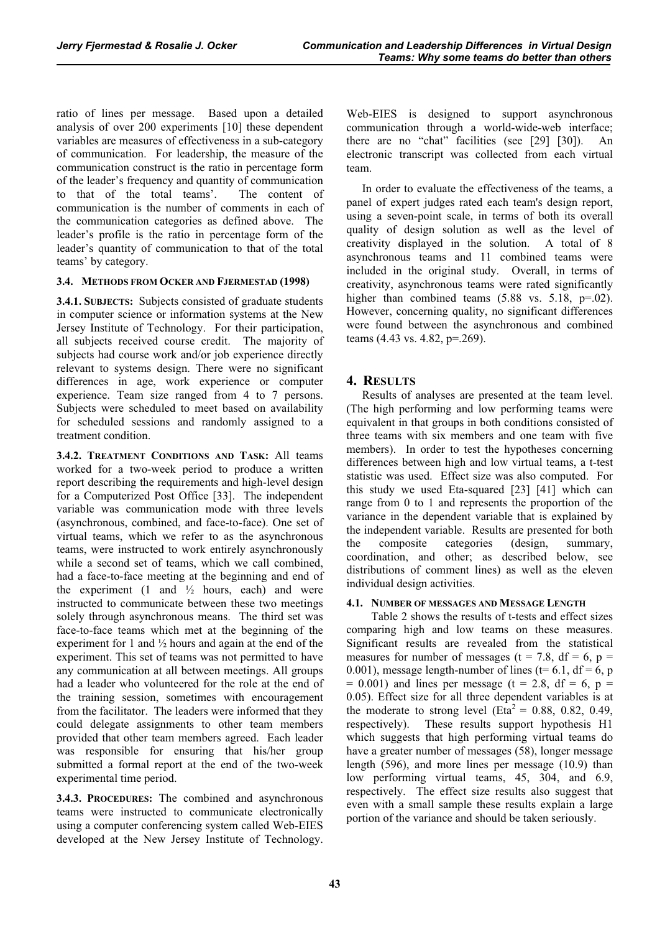ratio of lines per message. Based upon a detailed analysis of over 200 experiments [10] these dependent variables are measures of effectiveness in a sub-category of communication. For leadership, the measure of the communication construct is the ratio in percentage form of the leader's frequency and quantity of communication to that of the total teams'. The content of communication is the number of comments in each of the communication categories as defined above. The leader's profile is the ratio in percentage form of the leader's quantity of communication to that of the total teams' by category.

## **3.4. METHODS FROM OCKER AND FJERMESTAD (1998)**

**3.4.1. SUBJECTS:** Subjects consisted of graduate students in computer science or information systems at the New Jersey Institute of Technology. For their participation, all subjects received course credit. The majority of subjects had course work and/or job experience directly relevant to systems design. There were no significant differences in age, work experience or computer experience. Team size ranged from 4 to 7 persons. Subjects were scheduled to meet based on availability for scheduled sessions and randomly assigned to a treatment condition.

**3.4.2. TREATMENT CONDITIONS AND TASK:** All teams worked for a two-week period to produce a written report describing the requirements and high-level design for a Computerized Post Office [33]. The independent variable was communication mode with three levels (asynchronous, combined, and face-to-face). One set of virtual teams, which we refer to as the asynchronous teams, were instructed to work entirely asynchronously while a second set of teams, which we call combined, had a face-to-face meeting at the beginning and end of the experiment  $(1 \text{ and } \frac{1}{2} \text{ hours}, \text{ each})$  and were instructed to communicate between these two meetings solely through asynchronous means. The third set was face-to-face teams which met at the beginning of the experiment for 1 and ½ hours and again at the end of the experiment. This set of teams was not permitted to have any communication at all between meetings. All groups had a leader who volunteered for the role at the end of the training session, sometimes with encouragement from the facilitator. The leaders were informed that they could delegate assignments to other team members provided that other team members agreed. Each leader was responsible for ensuring that his/her group submitted a formal report at the end of the two-week experimental time period.

**3.4.3. PROCEDURES:** The combined and asynchronous teams were instructed to communicate electronically using a computer conferencing system called Web-EIES developed at the New Jersey Institute of Technology.

Web-EIES is designed to support asynchronous communication through a world-wide-web interface; there are no "chat" facilities (see [29] [30]). An electronic transcript was collected from each virtual team.

In order to evaluate the effectiveness of the teams, a panel of expert judges rated each team's design report, using a seven-point scale, in terms of both its overall quality of design solution as well as the level of creativity displayed in the solution. A total of 8 asynchronous teams and 11 combined teams were included in the original study. Overall, in terms of creativity, asynchronous teams were rated significantly higher than combined teams  $(5.88 \text{ vs. } 5.18, \text{ p} = .02)$ . However, concerning quality, no significant differences were found between the asynchronous and combined teams (4.43 vs. 4.82, p=.269).

# **4. RESULTS**

Results of analyses are presented at the team level. (The high performing and low performing teams were equivalent in that groups in both conditions consisted of three teams with six members and one team with five members). In order to test the hypotheses concerning differences between high and low virtual teams, a t-test statistic was used. Effect size was also computed. For this study we used Eta-squared [23] [41] which can range from 0 to 1 and represents the proportion of the variance in the dependent variable that is explained by the independent variable. Results are presented for both the composite categories (design, summary, coordination, and other; as described below, see distributions of comment lines) as well as the eleven individual design activities.

# **4.1. NUMBER OF MESSAGES AND MESSAGE LENGTH**

 Table 2 shows the results of t-tests and effect sizes comparing high and low teams on these measures. Significant results are revealed from the statistical measures for number of messages ( $t = 7.8$ ,  $df = 6$ ,  $p =$ 0.001), message length-number of lines (t= 6.1, df = 6, p  $= 0.001$ ) and lines per message (t = 2.8, df = 6, p = 0.05). Effect size for all three dependent variables is at the moderate to strong level (Eta<sup>2</sup> = 0.88, 0.82, 0.49, respectively). These results support hypothesis H1 which suggests that high performing virtual teams do have a greater number of messages (58), longer message length (596), and more lines per message (10.9) than low performing virtual teams, 45, 304, and 6.9, respectively. The effect size results also suggest that even with a small sample these results explain a large portion of the variance and should be taken seriously.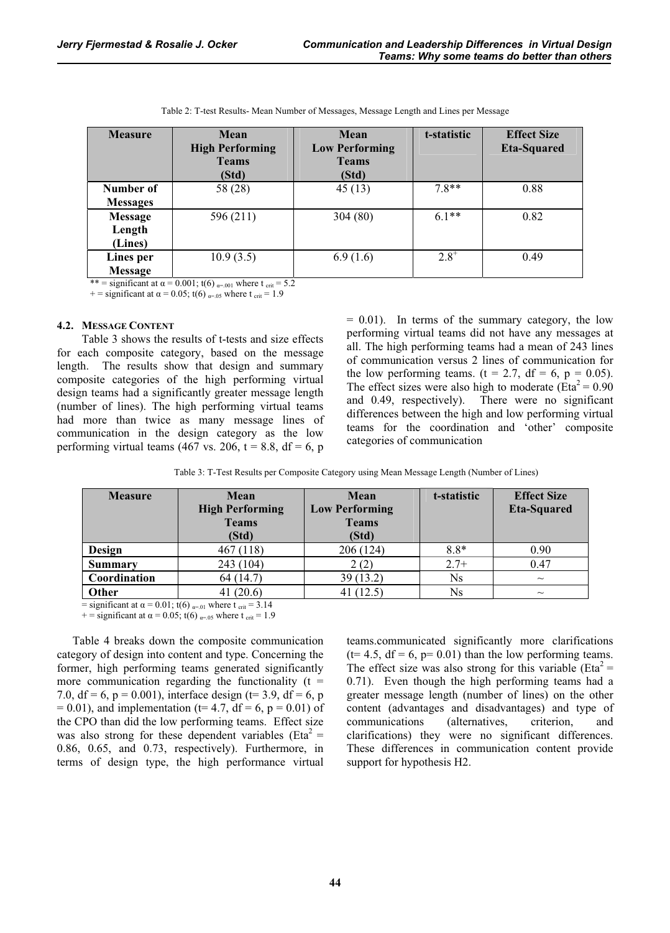| <b>Measure</b>               | Mean<br><b>High Performing</b><br><b>Teams</b><br>(Std) | Mean<br><b>Low Performing</b><br><b>Teams</b><br>(Std) | t-statistic | <b>Effect Size</b><br><b>Eta-Squared</b> |
|------------------------------|---------------------------------------------------------|--------------------------------------------------------|-------------|------------------------------------------|
| Number of<br><b>Messages</b> | 58 (28)                                                 | 45(13)                                                 | $7.8**$     | 0.88                                     |
| Message<br>Length<br>(Lines) | 596 (211)                                               | 304(80)                                                | $6.1**$     | 0.82                                     |
| Lines per<br>Message         | 10.9(3.5)                                               | 6.9(1.6)                                               | $2.8^{+}$   | 0.49                                     |

Table 2: T-test Results- Mean Number of Messages, Message Length and Lines per Message

\*\* = significant at  $\alpha$  = 0.001; t(6)  $_{\alpha=0.01}$  where t  $_{\text{crit}}$  = 5.2

+ = significant at  $\alpha$  = 0.05; t(6)  $_{\alpha=0.05}$  where t  $_{\text{crit}}$  = 1.9

### **4.2. MESSAGE CONTENT**

 Table 3 shows the results of t-tests and size effects for each composite category, based on the message length. The results show that design and summary composite categories of the high performing virtual design teams had a significantly greater message length (number of lines). The high performing virtual teams had more than twice as many message lines of communication in the design category as the low performing virtual teams (467 vs. 206,  $t = 8.8$ , df = 6, p

 $= 0.01$ ). In terms of the summary category, the low performing virtual teams did not have any messages at all. The high performing teams had a mean of 243 lines of communication versus 2 lines of communication for the low performing teams. (t = 2.7, df = 6, p = 0.05). The effect sizes were also high to moderate (Eta<sup>2</sup> =  $0.90$ ) and 0.49, respectively). There were no significant differences between the high and low performing virtual teams for the coordination and 'other' composite categories of communication

Table 3: T-Test Results per Composite Category using Mean Message Length (Number of Lines)

| <b>Measure</b> | Mean                   | Mean                  | t-statistic | <b>Effect Size</b> |
|----------------|------------------------|-----------------------|-------------|--------------------|
|                | <b>High Performing</b> | <b>Low Performing</b> |             | <b>Eta-Squared</b> |
|                | <b>Teams</b>           | <b>Teams</b>          |             |                    |
|                | (Std)                  | (Std)                 |             |                    |
| Design         | 467 (118)              | 206 (124)             | $8.8*$      | 0.90               |
| <b>Summary</b> | 243 (104)              | 2(2)                  | $2.7+$      | 0.47               |
| Coordination   | 64 (14.7)              | 39 (13.2)             | Ns          | $\sim$             |
| Other          | 41 $(20.6)$            | (12.5)                | <b>Ns</b>   | $\sim$             |

 $=$  significant at  $\alpha = 0.01$ ; t(6)  $_{\alpha=.01}$  where t  $_{\text{crit}} = 3.14$ + = significant at  $\alpha$  = 0.05; t(6)  $_{\alpha=0.05}$  where t  $_{\text{crit}}$  = 1.9

Table 4 breaks down the composite communication category of design into content and type. Concerning the former, high performing teams generated significantly more communication regarding the functionality  $(t =$ 7.0, df = 6, p = 0.001), interface design (t= 3.9, df = 6, p  $= 0.01$ ), and implementation (t= 4.7, df = 6, p = 0.01) of the CPO than did the low performing teams. Effect size was also strong for these dependent variables ( $Eta^2$  = 0.86, 0.65, and 0.73, respectively). Furthermore, in terms of design type, the high performance virtual teams.communicated significantly more clarifications  $(t= 4.5, df = 6, p= 0.01)$  than the low performing teams. The effect size was also strong for this variable ( $Eta^2$  = 0.71). Even though the high performing teams had a greater message length (number of lines) on the other content (advantages and disadvantages) and type of communications (alternatives, criterion, and clarifications) they were no significant differences. These differences in communication content provide support for hypothesis H2.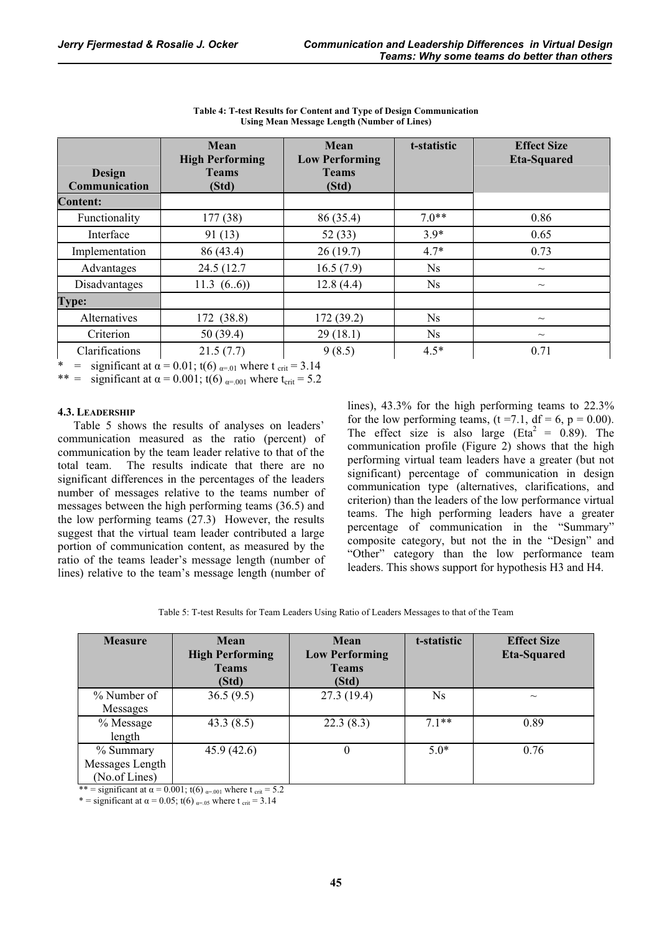| Design<br>Communication | Mean<br><b>High Performing</b><br><b>Teams</b><br>(Std) | Mean<br><b>Low Performing</b><br><b>Teams</b><br>(Std) | t-statistic    | <b>Effect Size</b><br><b>Eta-Squared</b> |
|-------------------------|---------------------------------------------------------|--------------------------------------------------------|----------------|------------------------------------------|
| <b>Content:</b>         |                                                         |                                                        |                |                                          |
| Functionality           | 177 (38)                                                | 86 (35.4)                                              | $7.0**$        | 0.86                                     |
| Interface               | 91(13)                                                  | 52(33)                                                 | $3.9*$         | 0.65                                     |
| Implementation          | 86 (43.4)                                               | 26(19.7)                                               | $4.7*$         | 0.73                                     |
| Advantages              | 24.5 (12.7)                                             | 16.5(7.9)                                              | $N_{\rm s}$    | $\sim$                                   |
| Disadvantages           | 11.3 $(6.6)$                                            | 12.8(4.4)                                              | N <sub>s</sub> | $\sim$                                   |
| <b>Type:</b>            |                                                         |                                                        |                |                                          |
| Alternatives            | 172 (38.8)                                              | 172(39.2)                                              | $N_{\rm s}$    | $\widetilde{\phantom{m}}$                |
| Criterion               | 50(39.4)                                                | 29(18.1)                                               | <b>Ns</b>      | $\sim\,$                                 |
| Clarifications          | 21.5(7.7)                                               | 9(8.5)                                                 | $4.5*$         | 0.71                                     |

**Table 4: T-test Results for Content and Type of Design Communication Using Mean Message Length (Number of Lines)** 

\* = significant at  $\alpha = 0.01$ ; t(6)  $_{\alpha=01}$  where t  $_{\text{crit}} = 3.14$ 

\*\* = significant at  $\alpha$  = 0.001; t(6)  $_{\alpha=0.001}$  where t<sub>crit</sub> = 5.2

## **4.3. LEADERSHIP**

Table 5 shows the results of analyses on leaders' communication measured as the ratio (percent) of communication by the team leader relative to that of the total team. The results indicate that there are no significant differences in the percentages of the leaders number of messages relative to the teams number of messages between the high performing teams (36.5) and the low performing teams (27.3) However, the results suggest that the virtual team leader contributed a large portion of communication content, as measured by the ratio of the teams leader's message length (number of lines) relative to the team's message length (number of lines), 43.3% for the high performing teams to 22.3% for the low performing teams,  $(t = 7.1, df = 6, p = 0.00)$ . The effect size is also large (Eta<sup>2</sup> = 0.89). The communication profile (Figure 2) shows that the high performing virtual team leaders have a greater (but not significant) percentage of communication in design communication type (alternatives, clarifications, and criterion) than the leaders of the low performance virtual teams. The high performing leaders have a greater percentage of communication in the "Summary" composite category, but not the in the "Design" and "Other" category than the low performance team leaders. This shows support for hypothesis H3 and H4.

| Table 5: T-test Results for Team Leaders Using Ratio of Leaders Messages to that of the Team |  |  |
|----------------------------------------------------------------------------------------------|--|--|
|----------------------------------------------------------------------------------------------|--|--|

| <b>Measure</b>                                | Mean<br><b>High Performing</b><br><b>Teams</b><br>(Std) | Mean<br><b>Low Performing</b><br><b>Teams</b><br>(Std) | t-statistic | <b>Effect Size</b><br><b>Eta-Squared</b> |
|-----------------------------------------------|---------------------------------------------------------|--------------------------------------------------------|-------------|------------------------------------------|
| % Number of<br><b>Messages</b>                | 36.5(9.5)                                               | 27.3 (19.4)                                            | $N_{\rm s}$ | $\sim$                                   |
| $%$ Message<br>length                         | 43.3(8.5)                                               | 22.3(8.3)                                              | $7.1**$     | 0.89                                     |
| % Summary<br>Messages Length<br>(No.of Lines) | 45.9(42.6)                                              | 0                                                      | $5.0*$      | 0.76                                     |

\*\* = significant at  $\alpha$  = 0.001; t(6)  $_{\alpha=0.01}$  where t  $_{\text{crit}}$  = 5.2

\* = significant at  $\alpha$  = 0.05; t(6)  $_{\alpha=0.05}$  where t  $_{\text{crit}}$  = 3.14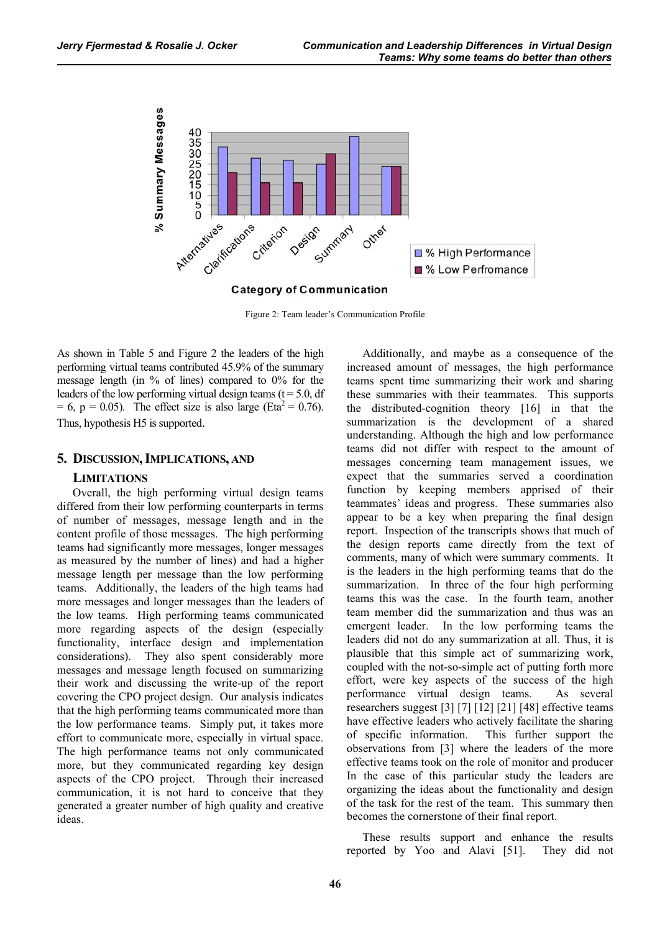

Figure 2: Team leader's Communication Profile

As shown in Table 5 and Figure 2 the leaders of the high performing virtual teams contributed 45.9% of the summary message length (in % of lines) compared to 0% for the leaders of the low performing virtual design teams ( $t = 5.0$ , df  $= 6$ , p  $= 0.05$ ). The effect size is also large (Eta<sup>2</sup>  $= 0.76$ ). Thus, hypothesis H5 is supported.

### **5. DISCUSSION, IMPLICATIONS, AND**

#### **LIMITATIONS**

Overall, the high performing virtual design teams differed from their low performing counterparts in terms of number of messages, message length and in the content profile of those messages. The high performing teams had significantly more messages, longer messages as measured by the number of lines) and had a higher message length per message than the low performing teams. Additionally, the leaders of the high teams had more messages and longer messages than the leaders of the low teams. High performing teams communicated more regarding aspects of the design (especially functionality, interface design and implementation considerations). They also spent considerably more messages and message length focused on summarizing their work and discussing the write-up of the report covering the CPO project design. Our analysis indicates that the high performing teams communicated more than the low performance teams. Simply put, it takes more effort to communicate more, especially in virtual space. The high performance teams not only communicated more, but they communicated regarding key design aspects of the CPO project. Through their increased communication, it is not hard to conceive that they generated a greater number of high quality and creative ideas.

Additionally, and maybe as a consequence of the increased amount of messages, the high performance teams spent time summarizing their work and sharing these summaries with their teammates. This supports the distributed-cognition theory [16] in that the summarization is the development of a shared understanding. Although the high and low performance teams did not differ with respect to the amount of messages concerning team management issues, we expect that the summaries served a coordination function by keeping members apprised of their teammates' ideas and progress. These summaries also appear to be a key when preparing the final design report. Inspection of the transcripts shows that much of the design reports came directly from the text of comments, many of which were summary comments. It is the leaders in the high performing teams that do the summarization. In three of the four high performing teams this was the case. In the fourth team, another team member did the summarization and thus was an emergent leader. In the low performing teams the leaders did not do any summarization at all. Thus, it is plausible that this simple act of summarizing work, coupled with the not-so-simple act of putting forth more effort, were key aspects of the success of the high performance virtual design teams. As several researchers suggest [3] [7] [12] [21] [48] effective teams have effective leaders who actively facilitate the sharing of specific information. This further support the observations from [3] where the leaders of the more effective teams took on the role of monitor and producer In the case of this particular study the leaders are organizing the ideas about the functionality and design of the task for the rest of the team. This summary then becomes the cornerstone of their final report.

These results support and enhance the results reported by Yoo and Alavi [51]. They did not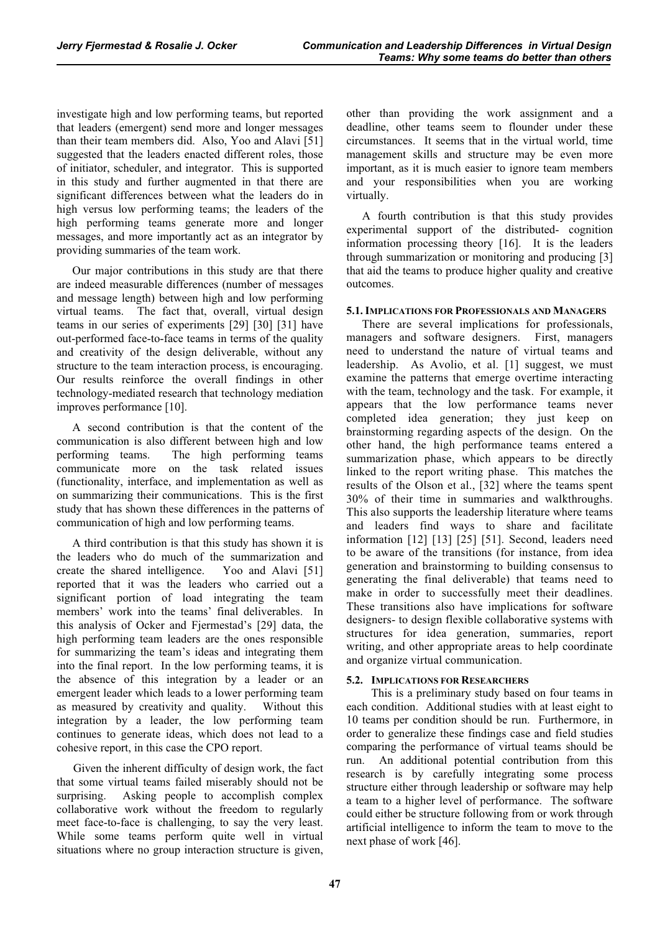investigate high and low performing teams, but reported that leaders (emergent) send more and longer messages than their team members did. Also, Yoo and Alavi [51] suggested that the leaders enacted different roles, those of initiator, scheduler, and integrator. This is supported in this study and further augmented in that there are significant differences between what the leaders do in high versus low performing teams; the leaders of the high performing teams generate more and longer messages, and more importantly act as an integrator by providing summaries of the team work.

Our major contributions in this study are that there are indeed measurable differences (number of messages and message length) between high and low performing virtual teams. The fact that, overall, virtual design teams in our series of experiments [29] [30] [31] have out-performed face-to-face teams in terms of the quality and creativity of the design deliverable, without any structure to the team interaction process, is encouraging. Our results reinforce the overall findings in other technology-mediated research that technology mediation improves performance [10].

A second contribution is that the content of the communication is also different between high and low performing teams. The high performing teams communicate more on the task related issues (functionality, interface, and implementation as well as on summarizing their communications. This is the first study that has shown these differences in the patterns of communication of high and low performing teams.

A third contribution is that this study has shown it is the leaders who do much of the summarization and create the shared intelligence. Yoo and Alavi [51] reported that it was the leaders who carried out a significant portion of load integrating the team members' work into the teams' final deliverables. In this analysis of Ocker and Fjermestad's [29] data, the high performing team leaders are the ones responsible for summarizing the team's ideas and integrating them into the final report. In the low performing teams, it is the absence of this integration by a leader or an emergent leader which leads to a lower performing team as measured by creativity and quality. Without this integration by a leader, the low performing team continues to generate ideas, which does not lead to a cohesive report, in this case the CPO report.

Given the inherent difficulty of design work, the fact that some virtual teams failed miserably should not be surprising. Asking people to accomplish complex collaborative work without the freedom to regularly meet face-to-face is challenging, to say the very least. While some teams perform quite well in virtual situations where no group interaction structure is given,

other than providing the work assignment and a deadline, other teams seem to flounder under these circumstances. It seems that in the virtual world, time management skills and structure may be even more important, as it is much easier to ignore team members and your responsibilities when you are working virtually.

A fourth contribution is that this study provides experimental support of the distributed- cognition information processing theory [16]. It is the leaders through summarization or monitoring and producing [3] that aid the teams to produce higher quality and creative outcomes.

# **5.1. IMPLICATIONS FOR PROFESSIONALS AND MANAGERS**

There are several implications for professionals, managers and software designers. First, managers need to understand the nature of virtual teams and leadership. As Avolio, et al. [1] suggest, we must examine the patterns that emerge overtime interacting with the team, technology and the task. For example, it appears that the low performance teams never completed idea generation; they just keep on brainstorming regarding aspects of the design. On the other hand, the high performance teams entered a summarization phase, which appears to be directly linked to the report writing phase. This matches the results of the Olson et al., [32] where the teams spent 30% of their time in summaries and walkthroughs. This also supports the leadership literature where teams and leaders find ways to share and facilitate information [12] [13] [25] [51]. Second, leaders need to be aware of the transitions (for instance, from idea generation and brainstorming to building consensus to generating the final deliverable) that teams need to make in order to successfully meet their deadlines. These transitions also have implications for software designers- to design flexible collaborative systems with structures for idea generation, summaries, report writing, and other appropriate areas to help coordinate and organize virtual communication.

# **5.2. IMPLICATIONS FOR RESEARCHERS**

 This is a preliminary study based on four teams in each condition. Additional studies with at least eight to 10 teams per condition should be run. Furthermore, in order to generalize these findings case and field studies comparing the performance of virtual teams should be run. An additional potential contribution from this research is by carefully integrating some process structure either through leadership or software may help a team to a higher level of performance. The software could either be structure following from or work through artificial intelligence to inform the team to move to the next phase of work [46].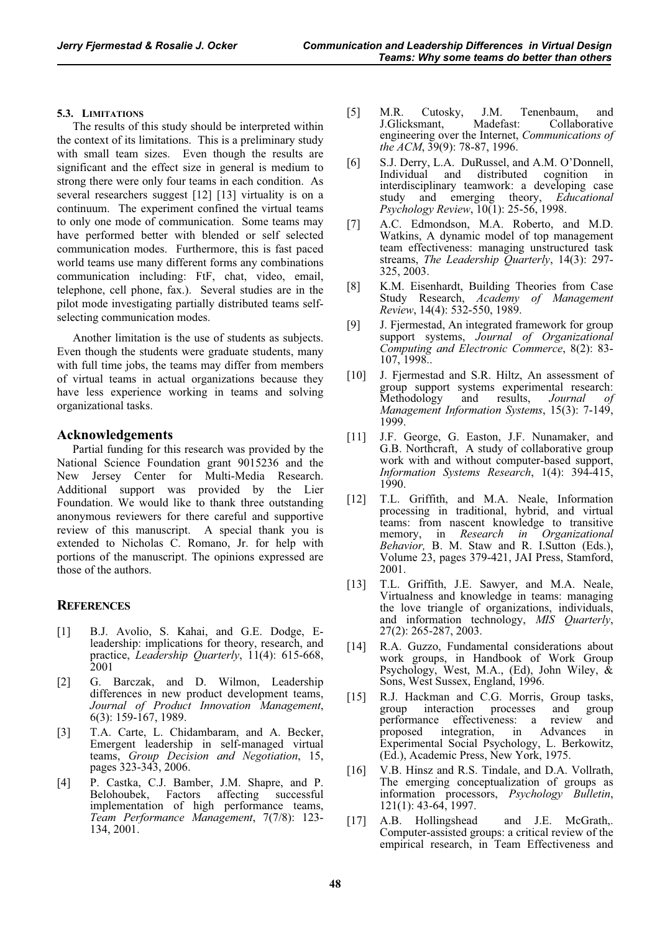## **5.3. LIMITATIONS**

The results of this study should be interpreted within the context of its limitations. This is a preliminary study with small team sizes. Even though the results are significant and the effect size in general is medium to strong there were only four teams in each condition. As several researchers suggest [12] [13] virtuality is on a continuum. The experiment confined the virtual teams to only one mode of communication. Some teams may have performed better with blended or self selected communication modes. Furthermore, this is fast paced world teams use many different forms any combinations communication including: FtF, chat, video, email, telephone, cell phone, fax.). Several studies are in the pilot mode investigating partially distributed teams selfselecting communication modes.

Another limitation is the use of students as subjects. Even though the students were graduate students, many with full time jobs, the teams may differ from members of virtual teams in actual organizations because they have less experience working in teams and solving organizational tasks.

## **Acknowledgements**

Partial funding for this research was provided by the National Science Foundation grant 9015236 and the New Jersey Center for Multi-Media Research. Additional support was provided by the Lier Foundation. We would like to thank three outstanding anonymous reviewers for there careful and supportive review of this manuscript. A special thank you is extended to Nicholas C. Romano, Jr. for help with portions of the manuscript. The opinions expressed are those of the authors.

## **REFERENCES**

- [1] B.J. Avolio, S. Kahai, and G.E. Dodge, Eleadership: implications for theory, research, and practice, *Leadership Quarterly*, 11(4): 615-668, 2001
- [2] G. Barczak, and D. Wilmon, Leadership differences in new product development teams, *Journal of Product Innovation Management*, 6(3): 159-167, 1989.
- [3] T.A. Carte, L. Chidambaram, and A. Becker, Emergent leadership in self-managed virtual teams, *Group Decision and Negotiation*, 15, pages 323-343, 2006.
- [4] P. Castka, C.J. Bamber, J.M. Shapre, and P. Belohoubek, Factors affecting successful implementation of high performance teams, *Team Performance Management*, 7(7/8): 123- 134, 2001.
- [5] M.R. Cutosky, J.M. Tenenbaum, and<br>J.Glicksmant, Madefast: Collaborative Collaborative engineering over the Internet, *Communications of the ACM*, 39(9): 78-87, 1996.
- [6] S.J. Derry, L.A. DuRussel, and A.M. O'Donnell, Individual and distributed cognition in interdisciplinary teamwork: a developing case study and emerging theory, *Educational Psychology Review*, 10(1): 25-56, 1998.
- [7] A.C. Edmondson, M.A. Roberto, and M.D. Watkins, A dynamic model of top management team effectiveness: managing unstructured task streams, *The Leadership Quarterly*, 14(3): 297- 325, 2003.
- [8] K.M. Eisenhardt, Building Theories from Case Study Research, *Academy of Management Review*, 14(4): 532-550, 1989.
- [9] J. Fjermestad, An integrated framework for group support systems, *Journal of Organizational Computing and Electronic Commerce*, 8(2): 83- 107, 1998..
- [10] J. Fjermestad and S.R. Hiltz, An assessment of group support systems experimental research: Methodology and results, *Journal of Management Information Systems*, 15(3): 7-149, 1999.
- [11] J.F. George, G. Easton, J.F. Nunamaker, and G.B. Northcraft, A study of collaborative group work with and without computer-based support, *Information Systems Research*, 1(4): 394-415, 1990.
- [12] T.L. Griffith, and M.A. Neale, Information processing in traditional, hybrid, and virtual teams: from nascent knowledge to transitive memory, in *Research in Organizational Behavior,* B. M. Staw and R. I.Sutton (Eds.), Volume 23, pages 379-421, JAI Press, Stamford, 2001.
- [13] T.L. Griffith, J.E. Sawyer, and M.A. Neale, Virtualness and knowledge in teams: managing the love triangle of organizations, individuals, and information technology, *MIS Quarterly*, 27(2): 265-287, 2003.
- [14] R.A. Guzzo, Fundamental considerations about work groups, in Handbook of Work Group Psychology, West, M.A., (Ed), John Wiley, & Sons, West Sussex, England, 1996.
- [15] R.J. Hackman and C.G. Morris, Group tasks, group interaction processes and group performance effectiveness: a review and proposed integration, in Advances in Experimental Social Psychology, L. Berkowitz, (Ed.), Academic Press, New York, 1975.
- [16] V.B. Hinsz and R.S. Tindale, and D.A. Vollrath, The emerging conceptualization of groups as information processors, *Psychology Bulletin*, 121(1): 43-64, 1997.
- [17] A.B. Hollingshead and J.E. McGrath,. Computer-assisted groups: a critical review of the empirical research, in Team Effectiveness and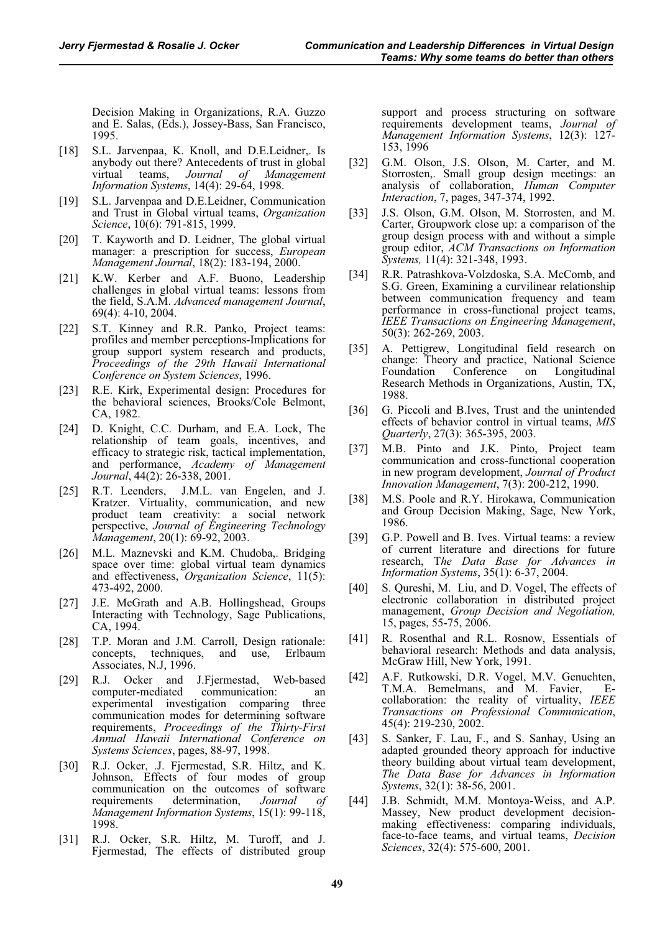Decision Making in Organizations, R.A. Guzzo and E. Salas, (Eds.), Jossey-Bass, San Francisco, 1995.

- [18] S.L. Jarvenpaa, K. Knoll, and D.E.Leidner,. Is anybody out there? Antecedents of trust in global virtual teams, *Journal of Management Information Systems*, 14(4): 29-64, 1998.
- [19] S.L. Jarvenpaa and D.E.Leidner, Communication and Trust in Global virtual teams, *Organization Science*, 10(6): 791-815, 1999.
- [20] T. Kayworth and D. Leidner, The global virtual manager: a prescription for success, *European Management Journal*, 18(2): 183-194, 2000.
- [21] K.W. Kerber and A.F. Buono, Leadership challenges in global virtual teams: lessons from the field, S.A.M. *Advanced management Journal*, 69(4): 4-10, 2004.
- [22] S.T. Kinney and R.R. Panko, Project teams: profiles and member perceptions-Implications for group support system research and products, *Proceedings of the 29th Hawaii International Conference on System Sciences*, 1996.
- [23] R.E. Kirk, Experimental design: Procedures for the behavioral sciences, Brooks/Cole Belmont, CA, 1982.
- [24] D. Knight, C.C. Durham, and E.A. Lock, The relationship of team goals, incentives, and efficacy to strategic risk, tactical implementation, and performance, *Academy of Management Journal*, 44(2): 26-338, 2001.
- [25] R.T. Leenders, J.M.L. van Engelen, and J. Kratzer. Virtuality, communication, and new product team creativity: a social network perspective, *Journal of Engineering Technology Management*, 20(1): 69-92, 2003.
- [26] M.L. Maznevski and K.M. Chudoba,. Bridging space over time: global virtual team dynamics and effectiveness, *Organization Science*, 11(5): 473-492, 2000.
- [27] J.E. McGrath and A.B. Hollingshead, Groups Interacting with Technology, Sage Publications, CA, 1994.
- [28] T.P. Moran and J.M. Carroll, Design rationale: concepts, techniques, and use, Erlbaum Associates, N.J, 1996.
- [29] R.J. Ocker and J.Fjermestad, Web-based computer-mediated communication: an experimental investigation comparing three communication modes for determining software requirements, *Proceedings of the Thirty-First Annual Hawaii International Conference on Systems Sciences*, pages, 88-97, 1998.
- [30] R.J. Ocker, .J. Fjermestad, S.R. Hiltz, and K. Johnson, Effects of four modes of group communication on the outcomes of software requirements determination, *Journal of Management Information Systems*, 15(1): 99-118, 1998.
- [31] R.J. Ocker, S.R. Hiltz, M. Turoff, and J. Fjermestad, The effects of distributed group

support and process structuring on software requirements development teams, *Journal of Management Information Systems*, 12(3): 127- 153, 1996

- [32] G.M. Olson, J.S. Olson, M. Carter, and M. Storrosten,. Small group design meetings: an analysis of collaboration, *Human Computer Interaction*, 7, pages, 347-374, 1992.
- [33] J.S. Olson, G.M. Olson, M. Storrosten, and M. Carter, Groupwork close up: a comparison of the group design process with and without a simple group editor, *ACM Transactions on Information Systems,* 11(4): 321-348, 1993.
- [34] R.R. Patrashkova-Volzdoska, S.A. McComb, and S.G. Green, Examining a curvilinear relationship between communication frequency and team performance in cross-functional project teams, *IEEE Transactions on Engineering Management*, 50(3): 262-269, 2003.
- [35] A. Pettigrew, Longitudinal field research on change: Theory and practice, National Science Foundation Conference on Longitudinal Research Methods in Organizations, Austin, TX, 1988.
- [36] G. Piccoli and B.Ives, Trust and the unintended effects of behavior control in virtual teams, *MIS Quarterly*, 27(3): 365-395, 2003.
- [37] M.B. Pinto and J.K. Pinto, Project team communication and cross-functional cooperation in new program development, *Journal of Product Innovation Management*, 7(3): 200-212, 1990.
- [38] M.S. Poole and R.Y. Hirokawa, Communication and Group Decision Making, Sage, New York, 1986.
- [39] G.P. Powell and B. Ives. Virtual teams: a review of current literature and directions for future research, T*he Data Base for Advances in Information Systems*, 35(1): 6-37, 2004.
- [40] S. Qureshi, M. Liu, and D. Vogel, The effects of electronic collaboration in distributed project management, *Group Decision and Negotiation,* 15, pages, 55-75, 2006.
- [41] R. Rosenthal and R.L. Rosnow, Essentials of behavioral research: Methods and data analysis, McGraw Hill, New York, 1991.
- [42] A.F. Rutkowski, D.R. Vogel, M.V. Genuchten, T.M.A. Bemelmans, and M. Favier, Ecollaboration: the reality of virtuality, *IEEE Transactions on Professional Communication*, 45(4): 219-230, 2002.
- [43] S. Sanker, F. Lau, F., and S. Sanhay, Using an adapted grounded theory approach for inductive theory building about virtual team development, *The Data Base for Advances in Information Systems*, 32(1): 38-56, 2001.
- [44] J.B. Schmidt, M.M. Montoya-Weiss, and A.P. Massey, New product development decisionmaking effectiveness: comparing individuals, face-to-face teams, and virtual teams, *Decision Sciences*, 32(4): 575-600, 2001.